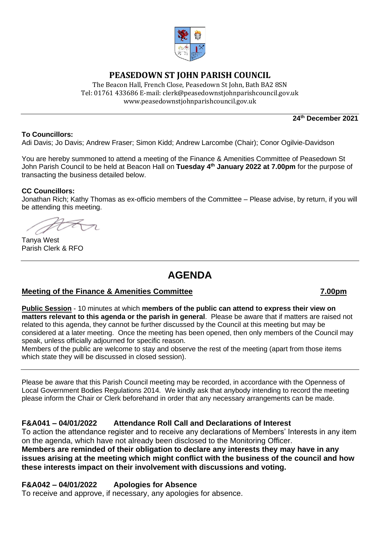

# **PEASEDOWN ST JOHN PARISH COUNCIL**

The Beacon Hall, French Close, Peasedown St John, Bath BA2 8SN Tel: 01761 433686 E-mail: clerk@peasedownstjohnparishcouncil.gov.uk [www.peasedownstjohnparishcouncil.gov.uk](http://www.peasedownstjohnparishcouncil.gov.uk/)

**24th December 2021**

#### **To Councillors:**

Adi Davis; Jo Davis; Andrew Fraser; Simon Kidd; Andrew Larcombe (Chair); Conor Ogilvie-Davidson

You are hereby summoned to attend a meeting of the Finance & Amenities Committee of Peasedown St John Parish Council to be held at Beacon Hall on **Tuesday 4 th January 2022 at 7.00pm** for the purpose of transacting the business detailed below.

#### **CC Councillors:**

Jonathan Rich; Kathy Thomas as ex-officio members of the Committee – Please advise, by return, if you will be attending this meeting.

Tanya West Parish Clerk & RFO

# **AGENDA**

#### **Meeting of the Finance & Amenities Committee 7.00pm**

**Public Session** - 10 minutes at which **members of the public can attend to express their view on matters relevant to this agenda or the parish in general**. Please be aware that if matters are raised not related to this agenda, they cannot be further discussed by the Council at this meeting but may be considered at a later meeting. Once the meeting has been opened, then only members of the Council may speak, unless officially adjourned for specific reason.

Members of the public are welcome to stay and observe the rest of the meeting (apart from those items which state they will be discussed in closed session).

Please be aware that this Parish Council meeting may be recorded, in accordance with the Openness of Local Government Bodies Regulations 2014. We kindly ask that anybody intending to record the meeting please inform the Chair or Clerk beforehand in order that any necessary arrangements can be made.

### **F&A041 – 04/01/2022 Attendance Roll Call and Declarations of Interest**

To action the attendance register and to receive any declarations of Members' Interests in any item on the agenda, which have not already been disclosed to the Monitoring Officer. **Members are reminded of their obligation to declare any interests they may have in any issues arising at the meeting which might conflict with the business of the council and how these interests impact on their involvement with discussions and voting.**

### **F&A042 – 04/01/2022 Apologies for Absence**

To receive and approve, if necessary, any apologies for absence.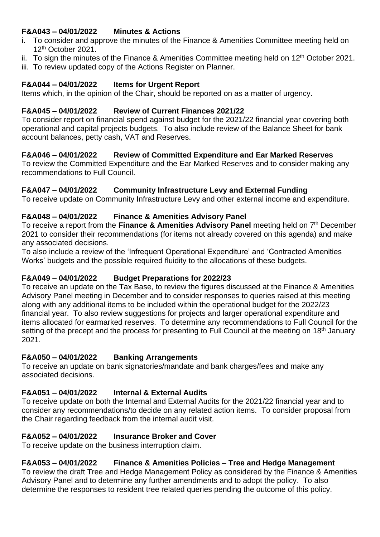# **F&A043 – 04/01/2022 Minutes & Actions**

- i. To consider and approve the minutes of the Finance & Amenities Committee meeting held on 12th October 2021.
- ii. To sign the minutes of the Finance & Amenities Committee meeting held on  $12<sup>th</sup>$  October 2021.
- iii. To review updated copy of the Actions Register on Planner.

#### **F&A044 – 04/01/2022 Items for Urgent Report**

Items which, in the opinion of the Chair, should be reported on as a matter of urgency.

#### **F&A045 – 04/01/2022 Review of Current Finances 2021/22**

To consider report on financial spend against budget for the 2021/22 financial year covering both operational and capital projects budgets. To also include review of the Balance Sheet for bank account balances, petty cash, VAT and Reserves.

### **F&A046 – 04/01/2022 Review of Committed Expenditure and Ear Marked Reserves**

To review the Committed Expenditure and the Ear Marked Reserves and to consider making any recommendations to Full Council.

### **F&A047 – 04/01/2022 Community Infrastructure Levy and External Funding**

To receive update on Community Infrastructure Levy and other external income and expenditure.

### **F&A048 – 04/01/2022 Finance & Amenities Advisory Panel**

To receive a report from the Finance & Amenities Advisory Panel meeting held on 7<sup>th</sup> December 2021 to consider their recommendations (for items not already covered on this agenda) and make any associated decisions.

To also include a review of the 'Infrequent Operational Expenditure' and 'Contracted Amenities Works' budgets and the possible required fluidity to the allocations of these budgets.

### **F&A049 – 04/01/2022 Budget Preparations for 2022/23**

To receive an update on the Tax Base, to review the figures discussed at the Finance & Amenities Advisory Panel meeting in December and to consider responses to queries raised at this meeting along with any additional items to be included within the operational budget for the 2022/23 financial year. To also review suggestions for projects and larger operational expenditure and items allocated for earmarked reserves. To determine any recommendations to Full Council for the setting of the precept and the process for presenting to Full Council at the meeting on 18<sup>th</sup> January 2021.

### **F&A050 – 04/01/2022 Banking Arrangements**

To receive an update on bank signatories/mandate and bank charges/fees and make any associated decisions.

### **F&A051 – 04/01/2022 Internal & External Audits**

To receive update on both the Internal and External Audits for the 2021/22 financial year and to consider any recommendations/to decide on any related action items. To consider proposal from the Chair regarding feedback from the internal audit visit.

### **F&A052 – 04/01/2022 Insurance Broker and Cover**

To receive update on the business interruption claim.

### **F&A053 – 04/01/2022 Finance & Amenities Policies – Tree and Hedge Management**

To review the draft Tree and Hedge Management Policy as considered by the Finance & Amenities Advisory Panel and to determine any further amendments and to adopt the policy. To also determine the responses to resident tree related queries pending the outcome of this policy.